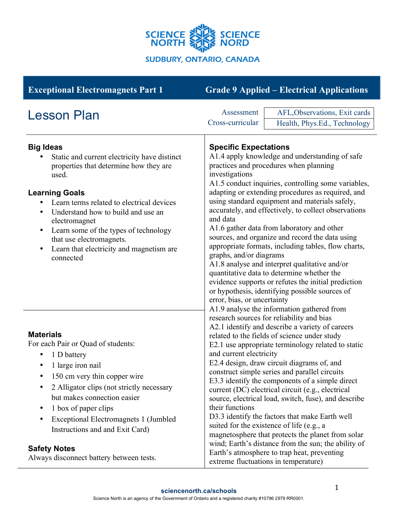

| <b>Exceptional Electromagnets Part 1</b>                                                                                                                                                                                                                                                                                                                                                              | <b>Grade 9 Applied – Electrical Applications</b>                                                                                                                                                                                                                                                                                                                                                                                                                                                                                                                                                                                                                                                                                                                                                                                                                                                                                                                                                                                                                                                                                                                                                                                                                                                                                                                                                                                                                                                                                                                                                                                                                          |
|-------------------------------------------------------------------------------------------------------------------------------------------------------------------------------------------------------------------------------------------------------------------------------------------------------------------------------------------------------------------------------------------------------|---------------------------------------------------------------------------------------------------------------------------------------------------------------------------------------------------------------------------------------------------------------------------------------------------------------------------------------------------------------------------------------------------------------------------------------------------------------------------------------------------------------------------------------------------------------------------------------------------------------------------------------------------------------------------------------------------------------------------------------------------------------------------------------------------------------------------------------------------------------------------------------------------------------------------------------------------------------------------------------------------------------------------------------------------------------------------------------------------------------------------------------------------------------------------------------------------------------------------------------------------------------------------------------------------------------------------------------------------------------------------------------------------------------------------------------------------------------------------------------------------------------------------------------------------------------------------------------------------------------------------------------------------------------------------|
| <b>Lesson Plan</b>                                                                                                                                                                                                                                                                                                                                                                                    | AFL, Observations, Exit cards<br>Assessment<br>Cross-curricular<br>Health, Phys.Ed., Technology                                                                                                                                                                                                                                                                                                                                                                                                                                                                                                                                                                                                                                                                                                                                                                                                                                                                                                                                                                                                                                                                                                                                                                                                                                                                                                                                                                                                                                                                                                                                                                           |
| <b>Big Ideas</b><br>Static and current electricity have distinct<br>properties that determine how they are<br>used.<br><b>Learning Goals</b><br>Learn terms related to electrical devices<br>Understand how to build and use an<br>٠<br>electromagnet<br>Learn some of the types of technology<br>٠<br>that use electromagnets.<br>Learn that electricity and magnetism are<br>$\bullet$<br>connected | <b>Specific Expectations</b><br>A1.4 apply knowledge and understanding of safe<br>practices and procedures when planning<br>investigations<br>A1.5 conduct inquiries, controlling some variables,<br>adapting or extending procedures as required, and<br>using standard equipment and materials safely,<br>accurately, and effectively, to collect observations<br>and data<br>A1.6 gather data from laboratory and other<br>sources, and organize and record the data using<br>appropriate formats, including tables, flow charts,<br>graphs, and/or diagrams<br>A1.8 analyse and interpret qualitative and/or<br>quantitative data to determine whether the<br>evidence supports or refutes the initial prediction<br>or hypothesis, identifying possible sources of<br>error, bias, or uncertainty<br>A1.9 analyse the information gathered from<br>research sources for reliability and bias<br>A2.1 identify and describe a variety of careers<br>related to the fields of science under study<br>E2.1 use appropriate terminology related to static<br>and current electricity<br>E2.4 design, draw circuit diagrams of, and<br>construct simple series and parallel circuits<br>E3.3 identify the components of a simple direct<br>current (DC) electrical circuit (e.g., electrical<br>source, electrical load, switch, fuse), and describe<br>their functions<br>D3.3 identify the factors that make Earth well<br>suited for the existence of life (e.g., a<br>magnetosphere that protects the planet from solar<br>wind; Earth's distance from the sun; the ability of<br>Earth's atmosphere to trap heat, preventing<br>extreme fluctuations in temperature) |
| <b>Materials</b><br>For each Pair or Quad of students:<br>1 D battery<br>٠<br>1 large iron nail<br>150 cm very thin copper wire<br>2 Alligator clips (not strictly necessary<br>٠<br>but makes connection easier<br>1 box of paper clips<br>٠<br>Exceptional Electromagnets 1 (Jumbled<br>٠<br>Instructions and and Exit Card)<br><b>Safety Notes</b><br>Always disconnect battery between tests.     |                                                                                                                                                                                                                                                                                                                                                                                                                                                                                                                                                                                                                                                                                                                                                                                                                                                                                                                                                                                                                                                                                                                                                                                                                                                                                                                                                                                                                                                                                                                                                                                                                                                                           |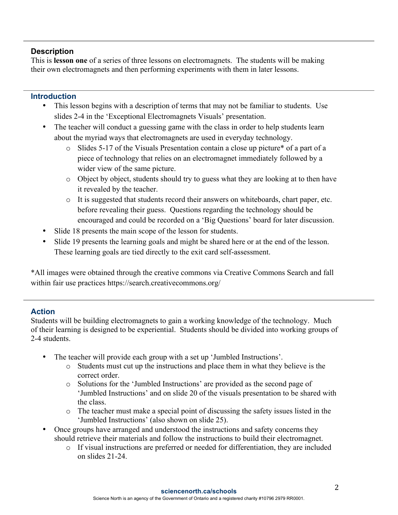## **Description**

This is **lesson one** of a series of three lessons on electromagnets. The students will be making their own electromagnets and then performing experiments with them in later lessons.

## **Introduction**

- This lesson begins with a description of terms that may not be familiar to students. Use slides 2-4 in the 'Exceptional Electromagnets Visuals' presentation.
- The teacher will conduct a guessing game with the class in order to help students learn about the myriad ways that electromagnets are used in everyday technology.
	- o Slides 5-17 of the Visuals Presentation contain a close up picture\* of a part of a piece of technology that relies on an electromagnet immediately followed by a wider view of the same picture.
	- o Object by object, students should try to guess what they are looking at to then have it revealed by the teacher.
	- o It is suggested that students record their answers on whiteboards, chart paper, etc. before revealing their guess. Questions regarding the technology should be encouraged and could be recorded on a 'Big Questions' board for later discussion.
- Slide 18 presents the main scope of the lesson for students.
- Slide 19 presents the learning goals and might be shared here or at the end of the lesson. These learning goals are tied directly to the exit card self-assessment.

\*All images were obtained through the creative commons via Creative Commons Search and fall within fair use practices https://search.creativecommons.org/

## **Action**

Students will be building electromagnets to gain a working knowledge of the technology. Much of their learning is designed to be experiential. Students should be divided into working groups of 2-4 students.

- The teacher will provide each group with a set up 'Jumbled Instructions'.
	- o Students must cut up the instructions and place them in what they believe is the correct order.
	- o Solutions for the 'Jumbled Instructions' are provided as the second page of 'Jumbled Instructions' and on slide 20 of the visuals presentation to be shared with the class.
	- o The teacher must make a special point of discussing the safety issues listed in the 'Jumbled Instructions' (also shown on slide 25).
- Once groups have arranged and understood the instructions and safety concerns they should retrieve their materials and follow the instructions to build their electromagnet.
	- o If visual instructions are preferred or needed for differentiation, they are included on slides 21-24.